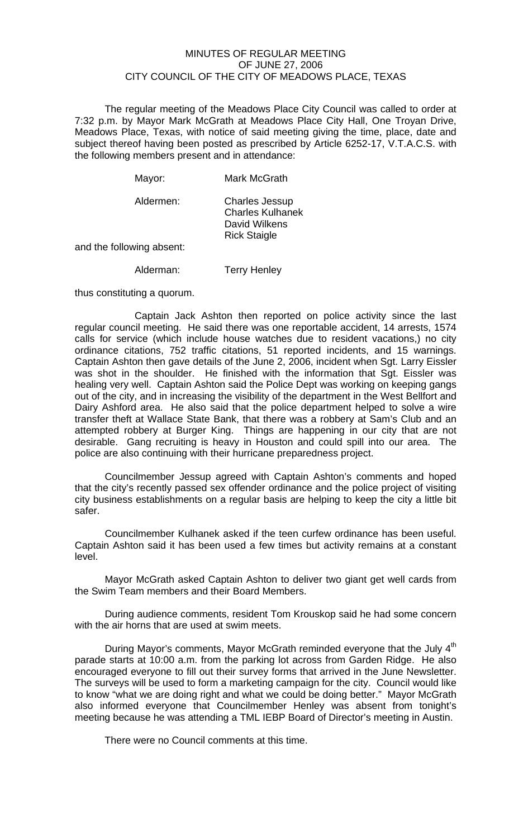## MINUTES OF REGULAR MEETING OF JUNE 27, 2006 CITY COUNCIL OF THE CITY OF MEADOWS PLACE, TEXAS

The regular meeting of the Meadows Place City Council was called to order at 7:32 p.m. by Mayor Mark McGrath at Meadows Place City Hall, One Troyan Drive, Meadows Place, Texas, with notice of said meeting giving the time, place, date and subject thereof having been posted as prescribed by Article 6252-17, V.T.A.C.S. with the following members present and in attendance:

| Mayor:    | <b>Mark McGrath</b> |
|-----------|---------------------|
| Aldermen: | Charles Lessin      |

| Aldermen: | <b>Charles Jessup</b>   |
|-----------|-------------------------|
|           | <b>Charles Kulhanek</b> |
|           | David Wilkens           |
|           | <b>Rick Staigle</b>     |
|           |                         |

and the following absent:

Alderman: Terry Henley

thus constituting a quorum.

 Captain Jack Ashton then reported on police activity since the last regular council meeting. He said there was one reportable accident, 14 arrests, 1574 calls for service (which include house watches due to resident vacations,) no city ordinance citations, 752 traffic citations, 51 reported incidents, and 15 warnings. Captain Ashton then gave details of the June 2, 2006, incident when Sgt. Larry Eissler was shot in the shoulder. He finished with the information that Sgt. Eissler was healing very well. Captain Ashton said the Police Dept was working on keeping gangs out of the city, and in increasing the visibility of the department in the West Bellfort and Dairy Ashford area. He also said that the police department helped to solve a wire transfer theft at Wallace State Bank, that there was a robbery at Sam's Club and an attempted robbery at Burger King. Things are happening in our city that are not desirable. Gang recruiting is heavy in Houston and could spill into our area. The police are also continuing with their hurricane preparedness project.

 Councilmember Jessup agreed with Captain Ashton's comments and hoped that the city's recently passed sex offender ordinance and the police project of visiting city business establishments on a regular basis are helping to keep the city a little bit safer.

 Councilmember Kulhanek asked if the teen curfew ordinance has been useful. Captain Ashton said it has been used a few times but activity remains at a constant level.

 Mayor McGrath asked Captain Ashton to deliver two giant get well cards from the Swim Team members and their Board Members.

 During audience comments, resident Tom Krouskop said he had some concern with the air horns that are used at swim meets.

During Mayor's comments, Mayor McGrath reminded everyone that the July 4<sup>th</sup> parade starts at 10:00 a.m. from the parking lot across from Garden Ridge. He also encouraged everyone to fill out their survey forms that arrived in the June Newsletter. The surveys will be used to form a marketing campaign for the city. Council would like to know "what we are doing right and what we could be doing better." Mayor McGrath also informed everyone that Councilmember Henley was absent from tonight's meeting because he was attending a TML IEBP Board of Director's meeting in Austin.

There were no Council comments at this time.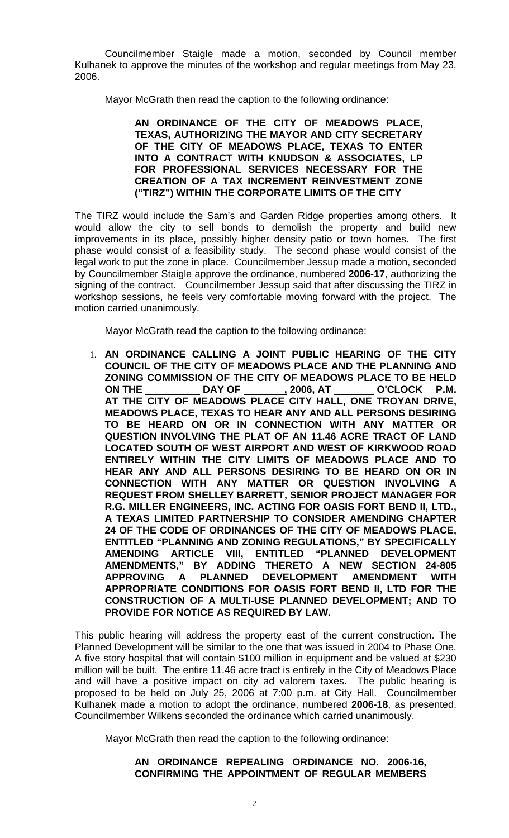Councilmember Staigle made a motion, seconded by Council member Kulhanek to approve the minutes of the workshop and regular meetings from May 23, 2006.

Mayor McGrath then read the caption to the following ordinance:

## **AN ORDINANCE OF THE CITY OF MEADOWS PLACE, TEXAS, AUTHORIZING THE MAYOR AND CITY SECRETARY OF THE CITY OF MEADOWS PLACE, TEXAS TO ENTER INTO A CONTRACT WITH KNUDSON & ASSOCIATES, LP FOR PROFESSIONAL SERVICES NECESSARY FOR THE CREATION OF A TAX INCREMENT REINVESTMENT ZONE ("TIRZ") WITHIN THE CORPORATE LIMITS OF THE CITY**

The TIRZ would include the Sam's and Garden Ridge properties among others. It would allow the city to sell bonds to demolish the property and build new improvements in its place, possibly higher density patio or town homes. The first phase would consist of a feasibility study. The second phase would consist of the legal work to put the zone in place. Councilmember Jessup made a motion, seconded by Councilmember Staigle approve the ordinance, numbered **2006-17**, authorizing the signing of the contract. Councilmember Jessup said that after discussing the TIRZ in workshop sessions, he feels very comfortable moving forward with the project. The motion carried unanimously.

Mayor McGrath read the caption to the following ordinance:

1. **AN ORDINANCE CALLING A JOINT PUBLIC HEARING OF THE CITY COUNCIL OF THE CITY OF MEADOWS PLACE AND THE PLANNING AND ZONING COMMISSION OF THE CITY OF MEADOWS PLACE TO BE HELD ON THE DAY OF , 2006, AT O'CLOCK P.M. AT THE CITY OF MEADOWS PLACE CITY HALL, ONE TROYAN DRIVE, MEADOWS PLACE, TEXAS TO HEAR ANY AND ALL PERSONS DESIRING TO BE HEARD ON OR IN CONNECTION WITH ANY MATTER OR QUESTION INVOLVING THE PLAT OF AN 11.46 ACRE TRACT OF LAND LOCATED SOUTH OF WEST AIRPORT AND WEST OF KIRKWOOD ROAD ENTIRELY WITHIN THE CITY LIMITS OF MEADOWS PLACE AND TO HEAR ANY AND ALL PERSONS DESIRING TO BE HEARD ON OR IN CONNECTION WITH ANY MATTER OR QUESTION INVOLVING A REQUEST FROM SHELLEY BARRETT, SENIOR PROJECT MANAGER FOR R.G. MILLER ENGINEERS, INC. ACTING FOR OASIS FORT BEND II, LTD., A TEXAS LIMITED PARTNERSHIP TO CONSIDER AMENDING CHAPTER 24 OF THE CODE OF ORDINANCES OF THE CITY OF MEADOWS PLACE, ENTITLED "PLANNING AND ZONING REGULATIONS," BY SPECIFICALLY AMENDING ARTICLE VIII, ENTITLED "PLANNED DEVELOPMENT AMENDMENTS," BY ADDING THERETO A NEW SECTION 24-805 APPROVING A PLANNED DEVELOPMENT AMENDMENT WITH APPROPRIATE CONDITIONS FOR OASIS FORT BEND II, LTD FOR THE CONSTRUCTION OF A MULTI-USE PLANNED DEVELOPMENT; AND TO PROVIDE FOR NOTICE AS REQUIRED BY LAW.**

This public hearing will address the property east of the current construction. The Planned Development will be similar to the one that was issued in 2004 to Phase One. A five story hospital that will contain \$100 million in equipment and be valued at \$230 million will be built. The entire 11.46 acre tract is entirely in the City of Meadows Place and will have a positive impact on city ad valorem taxes. The public hearing is proposed to be held on July 25, 2006 at 7:00 p.m. at City Hall. Councilmember Kulhanek made a motion to adopt the ordinance, numbered **2006-18**, as presented. Councilmember Wilkens seconded the ordinance which carried unanimously.

Mayor McGrath then read the caption to the following ordinance:

## **AN ORDINANCE REPEALING ORDINANCE NO. 2006-16, CONFIRMING THE APPOINTMENT OF REGULAR MEMBERS**